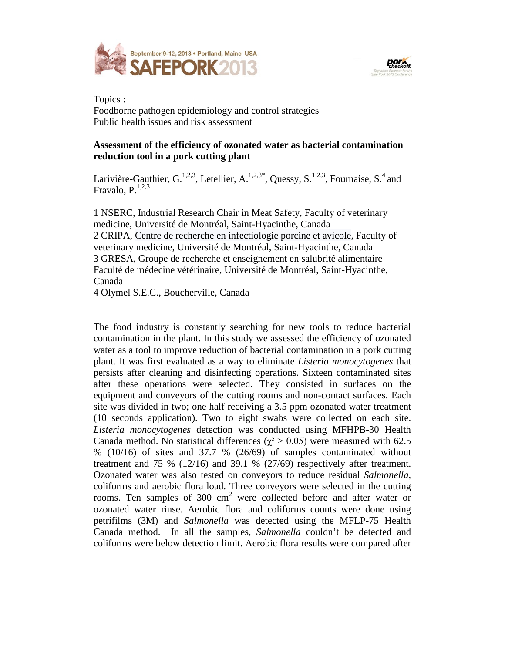



Topics : Foodborne pathogen epidemiology and control strategies Public health issues and risk assessment

## **Assessment of the efficiency of ozonated water as bacterial contamination reduction tool in a pork cutting plant**

Larivière-Gauthier, G.<sup>1,2,3</sup>, Letellier, A.<sup>1,2,3\*</sup>, Quessy, S.<sup>1,2,3</sup>, Fournaise, S.<sup>4</sup> and Fravalo,  $P^{1,2,3}$ 

1 NSERC, Industrial Research Chair in Meat Safety, Faculty of veterinary medicine, Université de Montréal, Saint-Hyacinthe, Canada 2 CRIPA, Centre de recherche en infectiologie porcine et avicole, Faculty of veterinary medicine, Université de Montréal, Saint-Hyacinthe, Canada 3 GRESA, Groupe de recherche et enseignement en salubrité alimentaire Faculté de médecine vétérinaire, Université de Montréal, Saint-Hyacinthe, Canada

4 Olymel S.E.C., Boucherville, Canada

The food industry is constantly searching for new tools to reduce bacterial contamination in the plant. In this study we assessed the efficiency of ozonated water as a tool to improve reduction of bacterial contamination in a pork cutting plant. It was first evaluated as a way to eliminate *Listeria monocytogenes* that persists after cleaning and disinfecting operations. Sixteen contaminated sites after these operations were selected. They consisted in surfaces on the equipment and conveyors of the cutting rooms and non-contact surfaces. Each site was divided in two; one half receiving a 3.5 ppm ozonated water treatment (10 seconds application). Two to eight swabs were collected on each site. *Listeria monocytogenes* detection was conducted using MFHPB-30 Health Canada method. No statistical differences ( $\chi^2 > 0.05$ ) were measured with 62.5 % (10/16) of sites and 37.7 % (26/69) of samples contaminated without treatment and 75 % (12/16) and 39.1 % (27/69) respectively after treatment. Ozonated water was also tested on conveyors to reduce residual *Salmonella*, coliforms and aerobic flora load. Three conveyors were selected in the cutting rooms. Ten samples of  $300 \text{ cm}^2$  were collected before and after water or ozonated water rinse. Aerobic flora and coliforms counts were done using petrifilms (3M) and *Salmonella* was detected using the MFLP-75 Health Canada method. In all the samples, *Salmonella* couldn't be detected and coliforms were below detection limit. Aerobic flora results were compared after